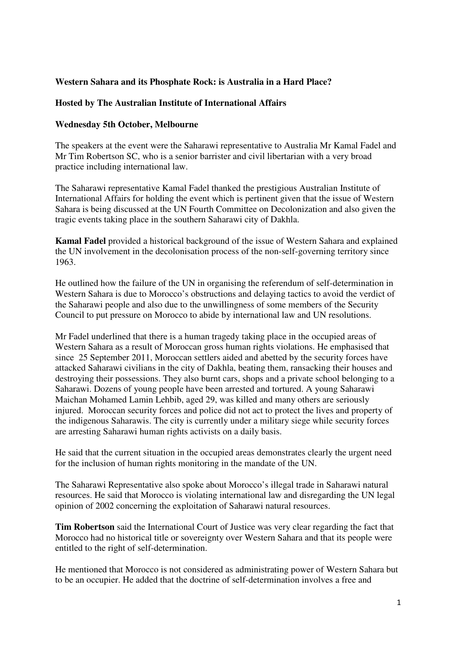## **Western Sahara and its Phosphate Rock: is Australia in a Hard Place?**

## **Hosted by The Australian Institute of International Affairs**

## **Wednesday 5th October, Melbourne**

The speakers at the event were the Saharawi representative to Australia Mr Kamal Fadel and Mr Tim Robertson SC, who is a senior barrister and civil libertarian with a very broad practice including international law.

The Saharawi representative Kamal Fadel thanked the prestigious Australian Institute of International Affairs for holding the event which is pertinent given that the issue of Western Sahara is being discussed at the UN Fourth Committee on Decolonization and also given the tragic events taking place in the southern Saharawi city of Dakhla.

**Kamal Fadel** provided a historical background of the issue of Western Sahara and explained the UN involvement in the decolonisation process of the non-self-governing territory since 1963.

He outlined how the failure of the UN in organising the referendum of self-determination in Western Sahara is due to Morocco's obstructions and delaying tactics to avoid the verdict of the Saharawi people and also due to the unwillingness of some members of the Security Council to put pressure on Morocco to abide by international law and UN resolutions.

Mr Fadel underlined that there is a human tragedy taking place in the occupied areas of Western Sahara as a result of Moroccan gross human rights violations. He emphasised that since 25 September 2011, Moroccan settlers aided and abetted by the security forces have attacked Saharawi civilians in the city of Dakhla, beating them, ransacking their houses and destroying their possessions. They also burnt cars, shops and a private school belonging to a Saharawi. Dozens of young people have been arrested and tortured. A young Saharawi Maichan Mohamed Lamin Lehbib, aged 29, was killed and many others are seriously injured. Moroccan security forces and police did not act to protect the lives and property of the indigenous Saharawis. The city is currently under a military siege while security forces are arresting Saharawi human rights activists on a daily basis.

He said that the current situation in the occupied areas demonstrates clearly the urgent need for the inclusion of human rights monitoring in the mandate of the UN.

The Saharawi Representative also spoke about Morocco's illegal trade in Saharawi natural resources. He said that Morocco is violating international law and disregarding the UN legal opinion of 2002 concerning the exploitation of Saharawi natural resources.

**Tim Robertson** said the International Court of Justice was very clear regarding the fact that Morocco had no historical title or sovereignty over Western Sahara and that its people were entitled to the right of self-determination.

He mentioned that Morocco is not considered as administrating power of Western Sahara but to be an occupier. He added that the doctrine of self-determination involves a free and